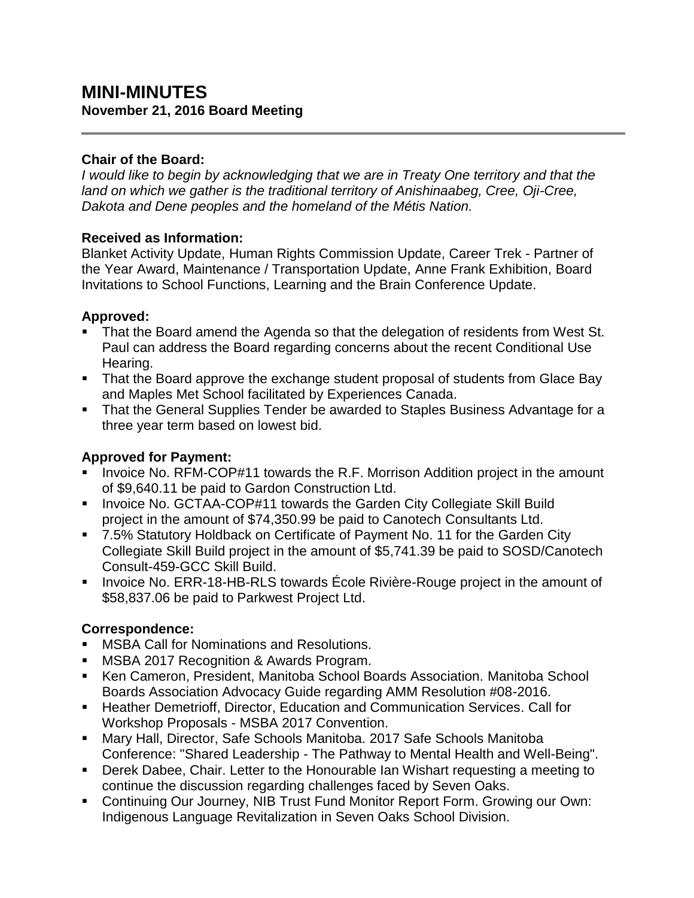# **MINI-MINUTES November 21, 2016 Board Meeting**

#### **Chair of the Board:**

*I would like to begin by acknowledging that we are in Treaty One territory and that the land on which we gather is the traditional territory of Anishinaabeg, Cree, Oji-Cree, Dakota and Dene peoples and the homeland of the Métis Nation.*

#### **Received as Information:**

Blanket Activity Update, Human Rights Commission Update, Career Trek - Partner of the Year Award, Maintenance / Transportation Update, Anne Frank Exhibition, Board Invitations to School Functions, Learning and the Brain Conference Update.

## **Approved:**

- That the Board amend the Agenda so that the delegation of residents from West St. Paul can address the Board regarding concerns about the recent Conditional Use Hearing.
- That the Board approve the exchange student proposal of students from Glace Bay and Maples Met School facilitated by Experiences Canada.
- **That the General Supplies Tender be awarded to Staples Business Advantage for a** three year term based on lowest bid.

## **Approved for Payment:**

- Invoice No. RFM-COP#11 towards the R.F. Morrison Addition project in the amount of \$9,640.11 be paid to Gardon Construction Ltd.
- **IDED 10. GCTAA-COP#11 towards the Garden City Collegiate Skill Build IDED** project in the amount of \$74,350.99 be paid to Canotech Consultants Ltd.
- 7.5% Statutory Holdback on Certificate of Payment No. 11 for the Garden City Collegiate Skill Build project in the amount of \$5,741.39 be paid to SOSD/Canotech Consult-459-GCC Skill Build.
- **IDED** Invoice No. ERR-18-HB-RLS towards Ecole Rivière-Rouge project in the amount of \$58,837.06 be paid to Parkwest Project Ltd.

## **Correspondence:**

- **MSBA Call for Nominations and Resolutions.**
- MSBA 2017 Recognition & Awards Program.
- Ken Cameron, President, Manitoba School Boards Association. Manitoba School Boards Association Advocacy Guide regarding AMM Resolution #08-2016.
- **Heather Demetrioff, Director, Education and Communication Services. Call for** Workshop Proposals - MSBA 2017 Convention.
- Mary Hall, Director, Safe Schools Manitoba. 2017 Safe Schools Manitoba Conference: "Shared Leadership - The Pathway to Mental Health and Well-Being".
- Derek Dabee, Chair. Letter to the Honourable Ian Wishart requesting a meeting to continue the discussion regarding challenges faced by Seven Oaks.
- Continuing Our Journey, NIB Trust Fund Monitor Report Form. Growing our Own: Indigenous Language Revitalization in Seven Oaks School Division.